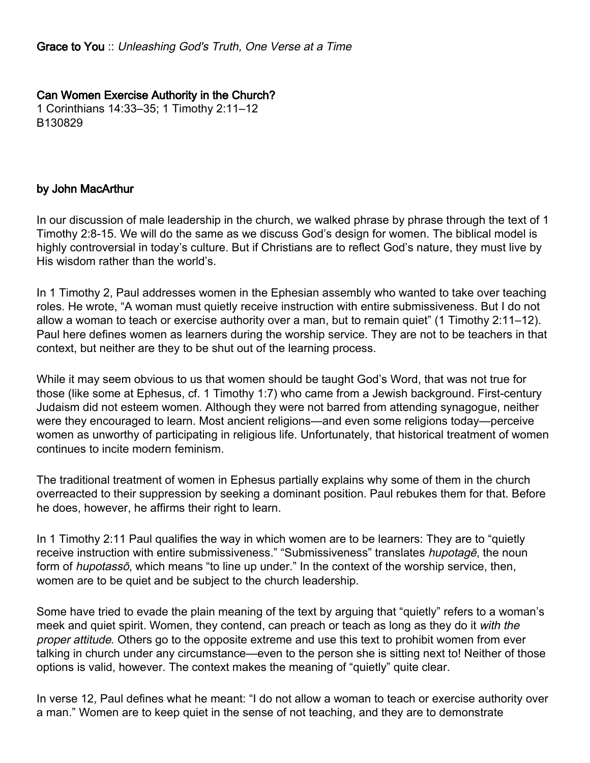## Can Women Exercise Authority in the Church?

1 Corinthians 14:33–35; 1 Timothy 2:11–12 B130829

## by John MacArthur

In our discussion of male leadership in the church, we walked phrase by phrase through the text of 1 Timothy 2:8-15. We will do the same as we discuss God's design for women. The biblical model is highly controversial in today's culture. But if Christians are to reflect God's nature, they must live by His wisdom rather than the world's.

In 1 Timothy 2, Paul addresses women in the Ephesian assembly who wanted to take over teaching roles. He wrote, "A woman must quietly receive instruction with entire submissiveness. But I do not allow a woman to teach or exercise authority over a man, but to remain quiet" (1 Timothy 2:11–12). Paul here defines women as learners during the worship service. They are not to be teachers in that context, but neither are they to be shut out of the learning process.

While it may seem obvious to us that women should be taught God's Word, that was not true for those (like some at Ephesus, cf. 1 Timothy 1:7) who came from a Jewish background. First-century Judaism did not esteem women. Although they were not barred from attending synagogue, neither were they encouraged to learn. Most ancient religions—and even some religions today—perceive women as unworthy of participating in religious life. Unfortunately, that historical treatment of women continues to incite modern feminism.

The traditional treatment of women in Ephesus partially explains why some of them in the church overreacted to their suppression by seeking a dominant position. Paul rebukes them for that. Before he does, however, he affirms their right to learn.

In 1 Timothy 2:11 Paul qualifies the way in which women are to be learners: They are to "quietly receive instruction with entire submissiveness." "Submissiveness" translates hupotage, the noun form of *hupotasso*, which means "to line up under." In the context of the worship service, then, women are to be quiet and be subject to the church leadership.

Some have tried to evade the plain meaning of the text by arguing that "quietly" refers to a woman's meek and quiet spirit. Women, they contend, can preach or teach as long as they do it with the proper attitude. Others go to the opposite extreme and use this text to prohibit women from ever talking in church under any circumstance—even to the person she is sitting next to! Neither of those options is valid, however. The context makes the meaning of "quietly" quite clear.

In verse 12, Paul defines what he meant: "I do not allow a woman to teach or exercise authority over a man." Women are to keep quiet in the sense of not teaching, and they are to demonstrate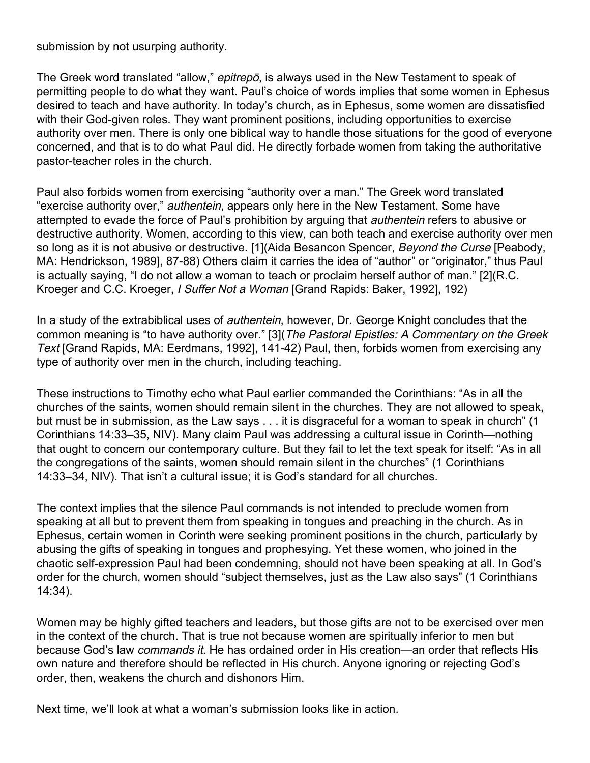submission by not usurping authority.

The Greek word translated "allow," epitrepo, is always used in the New Testament to speak of permitting people to do what they want. Paul's choice of words implies that some women in Ephesus desired to teach and have authority. In today's church, as in Ephesus, some women are dissatisfied with their God-given roles. They want prominent positions, including opportunities to exercise authority over men. There is only one biblical way to handle those situations for the good of everyone concerned, and that is to do what Paul did. He directly forbade women from taking the authoritative pastor-teacher roles in the church.

Paul also forbids women from exercising "authority over a man." The Greek word translated "exercise authority over," *authentein*, appears only here in the New Testament. Some have attempted to evade the force of Paul's prohibition by arguing that authentein refers to abusive or destructive authority. Women, according to this view, can both teach and exercise authority over men so long as it is not abusive or destructive. [1] (Aida Besancon Spencer, Beyond the Curse [Peabody, MA: Hendrickson, 1989], 87-88) Others claim it carries the idea of "author" or "originator," thus Paul is actually saying, "I do not allow a woman to teach or proclaim herself author of man." [2](R.C. Kroeger and C.C. Kroeger, I Suffer Not a Woman [Grand Rapids: Baker, 1992], 192)

In a study of the extrabiblical uses of *authentein*, however, Dr. George Knight concludes that the common meaning is "to have authority over." [3](The Pastoral Epistles: A Commentary on the Greek Text [Grand Rapids, MA: Eerdmans, 1992], 141-42) Paul, then, forbids women from exercising any type of authority over men in the church, including teaching.

These instructions to Timothy echo what Paul earlier commanded the Corinthians: "As in all the churches of the saints, women should remain silent in the churches. They are not allowed to speak, but must be in submission, as the Law says . . . it is disgraceful for a woman to speak in church" (1 Corinthians 14:33–35, NIV). Many claim Paul was addressing a cultural issue in Corinth—nothing that ought to concern our contemporary culture. But they fail to let the text speak for itself: "As in all the congregations of the saints, women should remain silent in the churches" (1 Corinthians 14:33–34, NIV). That isn't a cultural issue; it is God's standard for all churches.

The context implies that the silence Paul commands is not intended to preclude women from speaking at all but to prevent them from speaking in tongues and preaching in the church. As in Ephesus, certain women in Corinth were seeking prominent positions in the church, particularly by abusing the gifts of speaking in tongues and prophesying. Yet these women, who joined in the chaotic self-expression Paul had been condemning, should not have been speaking at all. In God's order for the church, women should "subject themselves, just as the Law also says" (1 Corinthians 14:34).

Women may be highly gifted teachers and leaders, but those gifts are not to be exercised over men in the context of the church. That is true not because women are spiritually inferior to men but because God's law *commands it*. He has ordained order in His creation—an order that reflects His own nature and therefore should be reflected in His church. Anyone ignoring or rejecting God's order, then, weakens the church and dishonors Him.

Next time, we'll look at what a woman's submission looks like in action.